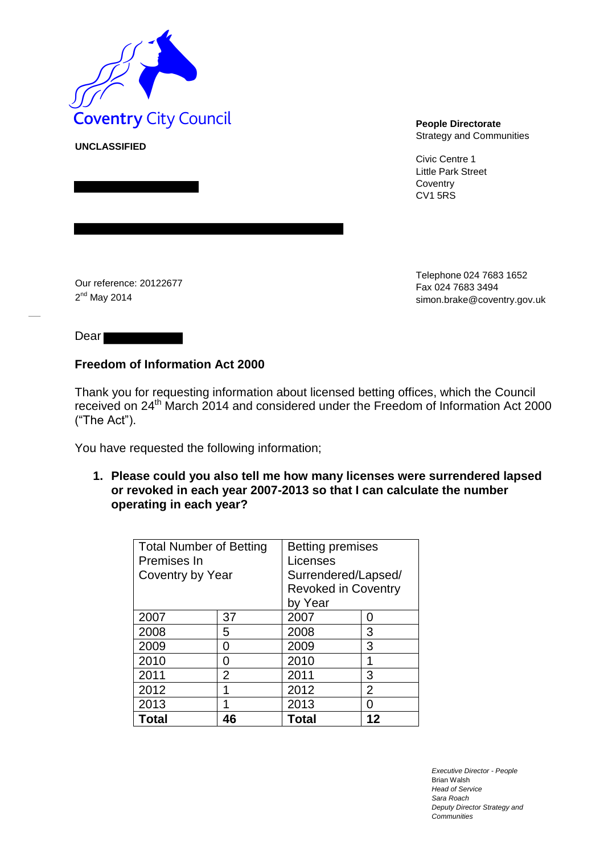

**UNCLASSIFIED**

Strategy and Communities

Civic Centre 1 Little Park Street **Coventry** CV1 5RS

Our reference: 20122677 2<sup>nd</sup> May 2014

Telephone 024 7683 1652 Fax 024 7683 349[4](mailto:simon.brake@coventry.gov.uk) [simon.brake@coventry.gov.uk](mailto:simon.brake@coventry.gov.uk)

Dear<sup>-</sup>

## **Freedom of Information Act 2000**

Thank you for requesting information about licensed betting offices, which the Council received on 24th March 2014 and considered under the Freedom of Information Act 2000 ("The Act").

You have requested the following information;

**1. Please could you also tell me how many licenses were surrendered lapsed or revoked in each year 2007-2013 so that I can calculate the number operating in each year?** 

| <b>Total Number of Betting</b> |                | <b>Betting premises</b>    |                |
|--------------------------------|----------------|----------------------------|----------------|
| Premises In                    |                | Licenses                   |                |
| Coventry by Year               |                | Surrendered/Lapsed/        |                |
|                                |                | <b>Revoked in Coventry</b> |                |
|                                |                | by Year                    |                |
| 2007                           | 37             | 2007                       | 0              |
| 2008                           | 5              | 2008                       | 3              |
| 2009                           | ი              | 2009                       | 3              |
| 2010                           | ი              | 2010                       | 1              |
| 2011                           | $\overline{2}$ | 2011                       | 3              |
| 2012                           | 1              | 2012                       | $\overline{2}$ |
| 2013                           |                | 2013                       | O              |
| <b>Total</b>                   | 46             | Total                      | 12             |

*Executive Director - People* Brian Walsh *Head of Service Sara Roach Deputy Director Strategy and Communities*